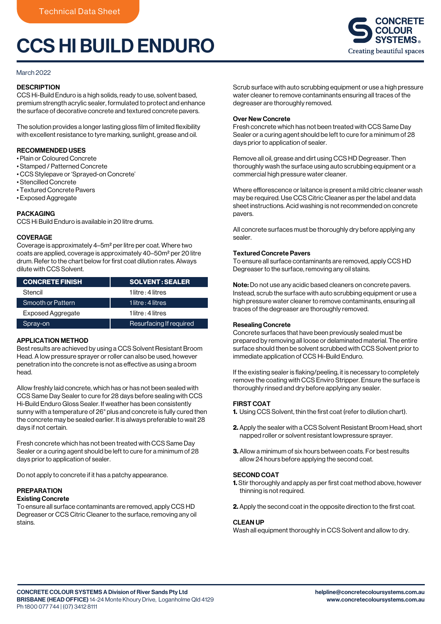# CCS HI BUILD ENDURO



#### March 2022

#### **DESCRIPTION**

CCS Hi-Build Enduro is a high solids, ready to use, solvent based, premium strength acrylic sealer, formulated to protect and enhance the surface of decorative concrete and textured concrete pavers.

The solution provides a longer lasting gloss film of limited flexibility with excellent resistance to tyre marking, sunlight, grease and oil.

#### RECOMMENDED USES

- Plain or Coloured Concrete
- Stamped / Patterned Concrete
- CCS Stylepave or 'Sprayed-on Concrete'
- Stencilled Concrete
- Textured Concrete Pavers
- Exposed Aggregate

#### PACKAGING

CCS Hi Build Enduro is available in 20 litre drums.

#### **COVERAGE**

Coverage is approximately 4–5m2 per litre per coat. Where two coats are applied, coverage is approximately 40–50m2 per 20 litre drum. Refer to the chart below for first coat dilution rates. Always dilute with CCS Solvent.

| <b>CONCRETE FINISH</b>   | <b>SOLVENT: SEALER</b>  |
|--------------------------|-------------------------|
| Stencil                  | 1 litre : 4 litres      |
| Smooth or Pattern        | 1 litre : 4 litres      |
| <b>Exposed Aggregate</b> | 1 litre : 4 litres      |
| Spray-on                 | Resurfacing If required |

## APPLICATION METHOD

Best results are achieved by using a CCS Solvent Resistant Broom Head. A low pressure sprayer or roller can also be used, however penetration into the concrete is not as effective as using a broom head.

Allow freshly laid concrete, which has or has not been sealed with CCS Same Day Sealer to cure for 28 days before sealing with CCS Hi-Build Enduro Gloss Sealer. If weather has been consistently sunny with a temperature of 26° plus and concrete is fully cured then the concrete may be sealed earlier. It is always preferable to wait 28 days if not certain.

Fresh concrete which has not been treated with CCS Same Day Sealer or a curing agent should be left to cure for a minimum of 28 days prior to application of sealer.

Do not apply to concrete if it has a patchy appearance.

#### PREPARATION

#### Existing Concrete

To ensure all surface contaminants are removed, apply CCS HD Degreaser or CCS Citric Cleaner to the surface, removing any oil stains.

Scrub surface with auto scrubbing equipment or use a high pressure water cleaner to remove contaminants ensuring all traces of the degreaser are thoroughly removed.

#### Over New Concrete

Fresh concrete which has not been treated with CCS Same Day Sealer or a curing agent should be left to cure for a minimum of 28 days prior to application of sealer.

Remove all oil, grease and dirt using CCS HD Degreaser. Then thoroughly wash the surface using auto scrubbing equipment or a commercial high pressure water cleaner.

Where efflorescence or laitance is present a mild citric cleaner wash may be required. Use CCS Citric Cleaner as per the label and data sheet instructions. Acid washing is not recommended on concrete pavers.

All concrete surfaces must be thoroughly dry before applying any sealer.

#### Textured Concrete Pavers

To ensure all surface contaminants are removed, apply CCS HD Degreaser to the surface, removing any oil stains.

Note: Do not use any acidic based cleaners on concrete pavers. Instead, scrub the surface with auto scrubbing equipment or use a high pressure water cleaner to remove contaminants, ensuring all traces of the degreaser are thoroughly removed.

#### Resealing Concrete

Concrete surfaces that have been previously sealed must be prepared by removing all loose or delaminated material. The entire surface should then be solvent scrubbed with CCS Solvent prior to immediate application of CCS Hi-Build Enduro.

If the existing sealer is flaking/peeling, it is necessary to completely remove the coating with CCS Enviro Stripper. Ensure the surface is thoroughly rinsed and dry before applying any sealer.

#### FIRST COAT

- 1. Using CCS Solvent, thin the first coat (refer to dilution chart).
- 2. Apply the sealer with a CCS Solvent Resistant Broom Head, short napped roller or solvent resistant lowpressure sprayer.
- 3. Allow a minimum of six hours between coats. For best results allow 24 hours before applying the second coat.

## SECOND COAT

- 1. Stir thoroughly and apply as per first coat method above, however thinning is not required.
- 2. Apply the second coat in the opposite direction to the first coat.

#### CLEAN UP

Wash all equipment thoroughly in CCS Solvent and allow to dry.